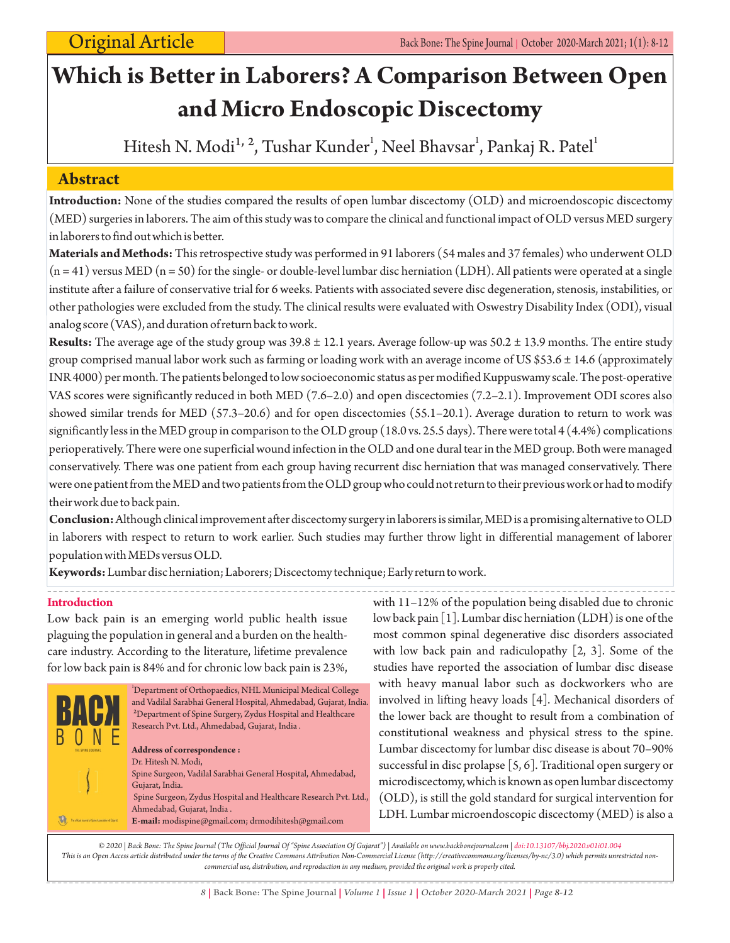# **Which is Better in Laborers? A Comparison Between Open and Micro Endoscopic Discectomy**

Hitesh N. Modi<sup>1, 2</sup>, Tushar Kunder<sup>1</sup>, Neel Bhavsar<sup>1</sup>, Pankaj R. Patel<sup>1</sup>

# **Abstract**

**Introduction:** None of the studies compared the results of open lumbar discectomy (OLD) and microendoscopic discectomy (MED) surgeries in laborers. The aim of this study was to compare the clinical and functional impact of OLD versus MED surgery in laborers to find out which is better.

**Materials and Methods:** This retrospective study was performed in 91 laborers (54 males and 37 females) who underwent OLD  $(n = 41)$  versus MED  $(n = 50)$  for the single- or double-level lumbar disc herniation (LDH). All patients were operated at a single institute after a failure of conservative trial for 6 weeks. Patients with associated severe disc degeneration, stenosis, instabilities, or other pathologies were excluded from the study. The clinical results were evaluated with Oswestry Disability Index (ODI), visual analog score (VAS), and duration of return back to work.

**Results:** The average age of the study group was 39.8 ± 12.1 years. Average follow-up was 50.2 ± 13.9 months. The entire study group comprised manual labor work such as farming or loading work with an average income of US \$53.6 ± 14.6 (approximately INR 4000) per month. The patients belonged to low socioeconomic status as per modified Kuppuswamy scale. The post-operative VAS scores were significantly reduced in both MED (7.6–2.0) and open discectomies (7.2–2.1). Improvement ODI scores also showed similar trends for MED (57.3–20.6) and for open discectomies (55.1–20.1). Average duration to return to work was significantly less in the MED group in comparison to the OLD group (18.0 vs. 25.5 days). There were total 4 (4.4%) complications perioperatively. There were one superficial wound infection in the OLD and one dural tear in the MED group. Both were managed conservatively. There was one patient from each group having recurrent disc herniation that was managed conservatively. There were one patient from the MED and two patients from the OLD group who could not return to their previous work or had to modify their work due to back pain.

**Conclusion:**Although clinical improvement after discectomy surgery in laborers is similar, MED is a promising alternative to OLD in laborers with respect to return to work earlier. Such studies may further throw light in differential management of laborer population with MEDs versus OLD.

**Keywords:**Lumbar disc herniation; Laborers; Discectomy technique; Early return to work.

# **Introduction**

Low back pain is an emerging world public health issue plaguing the population in general and a burden on the healthcare industry. According to the literature, lifetime prevalence for low back pain is 84% and for chronic low back pain is 23%,



with 11–12% of the population being disabled due to chronic low back pain [1]. Lumbar disc herniation (LDH) is one of the most common spinal degenerative disc disorders associated with low back pain and radiculopathy [2, 3]. Some of the studies have reported the association of lumbar disc disease with heavy manual labor such as dockworkers who are involved in lifting heavy loads [4]. Mechanical disorders of the lower back are thought to result from a combination of constitutional weakness and physical stress to the spine. Lumbar discectomy for lumbar disc disease is about 70–90% successful in disc prolapse [5, 6]. Traditional open surgery or microdiscectomy, which is known as open lumbar discectomy (OLD), is still the gold standard for surgical intervention for LDH. Lumbar microendoscopic discectomy (MED) is also a

*© 2020 | Back Bone: The Spine Journal (The Official Journal Of "Spine Association Of Gujarat") | Available on www.backbonejournal.com | doi:10.13107/bbj.2020.v01i01.004 This is an Open Access article distributed under the terms of the Creative Commons Attribution Non-Commercial License (http://creativecommons.org/licenses/by-nc/3.0) which permits unrestricted noncommercial use, distribution, and reproduction in any medium, provided the original work is properly cited.*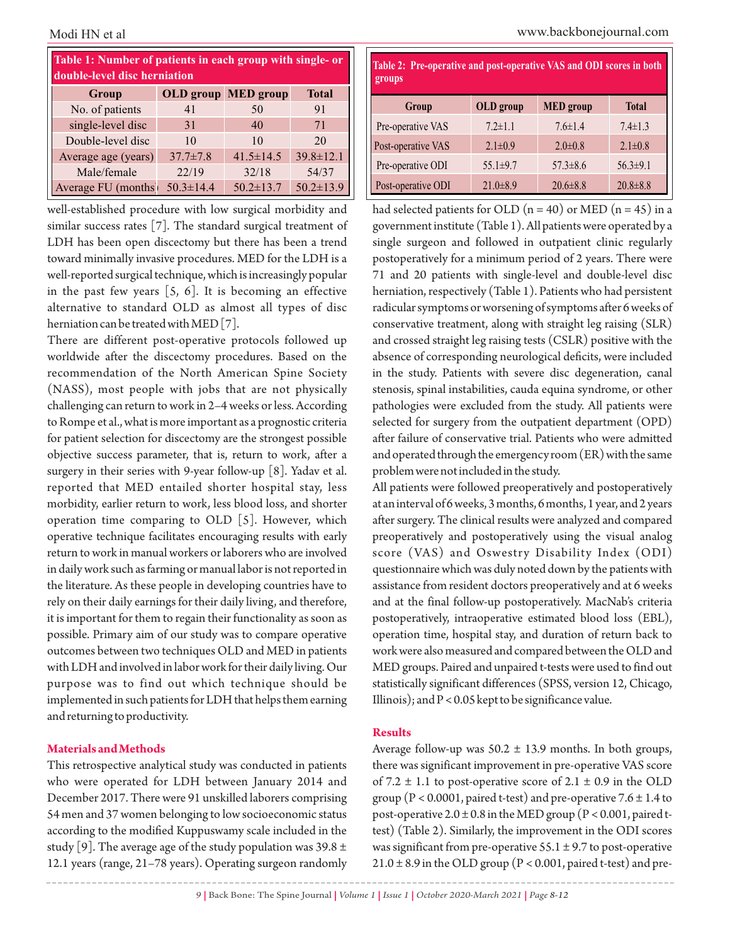| Table 1: Number of patients in each group with single- or<br>double-level disc herniation |                 |                            |                 |  |  |  |
|-------------------------------------------------------------------------------------------|-----------------|----------------------------|-----------------|--|--|--|
| <b>Group</b>                                                                              |                 | <b>OLD</b> group MED group | <b>Total</b>    |  |  |  |
| No. of patients                                                                           | 41              | 50                         | 91              |  |  |  |
| single-level disc                                                                         | 31              | 40                         | 71              |  |  |  |
| Double-level disc                                                                         | 10              | 10                         | 20              |  |  |  |
| Average age (years)                                                                       | $37.7 \pm 7.8$  | $41.5 \pm 14.5$            | $39.8 \pm 12.1$ |  |  |  |
| Male/female                                                                               | 22/19           | 32/18                      | 54/37           |  |  |  |
| Average FU (months)                                                                       | $50.3 \pm 14.4$ | $50.2 \pm 13.7$            | $50.2 \pm 13.9$ |  |  |  |

well-established procedure with low surgical morbidity and similar success rates [7]. The standard surgical treatment of LDH has been open discectomy but there has been a trend toward minimally invasive procedures. MED for the LDH is a well-reported surgical technique, which is increasingly popular in the past few years  $[5, 6]$ . It is becoming an effective alternative to standard OLD as almost all types of disc herniation can be treated with MED [7].

There are different post-operative protocols followed up worldwide after the discectomy procedures. Based on the recommendation of the North American Spine Society (NASS), most people with jobs that are not physically challenging can return to work in 2–4 weeks or less. According to Rompe et al., what is more important as a prognostic criteria for patient selection for discectomy are the strongest possible objective success parameter, that is, return to work, after a surgery in their series with 9-year follow-up [8]. Yadav et al. reported that MED entailed shorter hospital stay, less morbidity, earlier return to work, less blood loss, and shorter operation time comparing to OLD [5]. However, which operative technique facilitates encouraging results with early return to work in manual workers or laborers who are involved in daily work such as farming or manual labor is not reported in the literature. As these people in developing countries have to rely on their daily earnings for their daily living, and therefore, it is important for them to regain their functionality as soon as possible. Primary aim of our study was to compare operative outcomes between two techniques OLD and MED in patients with LDH and involved in labor work for their daily living. Our purpose was to find out which technique should be implemented in such patients for LDH that helps them earning and returning to productivity.

#### **Materials and Methods**

This retrospective analytical study was conducted in patients who were operated for LDH between January 2014 and December 2017. There were 91 unskilled laborers comprising 54 men and 37 women belonging to low socioeconomic status according to the modified Kuppuswamy scale included in the study [9]. The average age of the study population was 39.8  $\pm$ 12.1 years (range, 21–78 years). Operating surgeon randomly

| Table 2: Pre-operative and post-operative VAS and ODI scores in both<br>groups |                |                  |                |  |  |
|--------------------------------------------------------------------------------|----------------|------------------|----------------|--|--|
| Group                                                                          | OLD group      | <b>MED</b> group | <b>Total</b>   |  |  |
| Pre-operative VAS                                                              | $7.2 \pm 1.1$  | $7.6 \pm 1.4$    | $7.4 \pm 1.3$  |  |  |
| Post-operative VAS                                                             | $2.1 \pm 0.9$  | $2.0\pm0.8$      | $2.1\pm0.8$    |  |  |
| Pre-operative ODI                                                              | $55.1 \pm 9.7$ | $57.3 \pm 8.6$   | $56.3 \pm 9.1$ |  |  |
| Post-operative ODI                                                             | $21.0 \pm 8.9$ | $20.6 \pm 8.8$   | $20.8 \pm 8.8$ |  |  |

had selected patients for OLD  $(n = 40)$  or MED  $(n = 45)$  in a government institute (Table 1). All patients were operated by a single surgeon and followed in outpatient clinic regularly postoperatively for a minimum period of 2 years. There were 71 and 20 patients with single-level and double-level disc herniation, respectively (Table 1). Patients who had persistent radicular symptoms or worsening of symptoms after 6 weeks of conservative treatment, along with straight leg raising (SLR) and crossed straight leg raising tests (CSLR) positive with the absence of corresponding neurological deficits, were included in the study. Patients with severe disc degeneration, canal stenosis, spinal instabilities, cauda equina syndrome, or other pathologies were excluded from the study. All patients were selected for surgery from the outpatient department (OPD) after failure of conservative trial. Patients who were admitted and operated through the emergency room (ER) with the same problem were not included in the study.

All patients were followed preoperatively and postoperatively at an interval of 6 weeks, 3 months, 6 months, 1 year, and 2 years after surgery. The clinical results were analyzed and compared preoperatively and postoperatively using the visual analog score (VAS) and Oswestry Disability Index (ODI) questionnaire which was duly noted down by the patients with assistance from resident doctors preoperatively and at 6 weeks and at the final follow-up postoperatively. MacNab's criteria postoperatively, intraoperative estimated blood loss (EBL), operation time, hospital stay, and duration of return back to work were also measured and compared between the OLD and MED groups. Paired and unpaired t-tests were used to find out statistically significant differences (SPSS, version 12, Chicago, Illinois); and  $P < 0.05$  kept to be significance value.

#### **Results**

Average follow-up was  $50.2 \pm 13.9$  months. In both groups, there was significant improvement in pre-operative VAS score of 7.2  $\pm$  1.1 to post-operative score of 2.1  $\pm$  0.9 in the OLD group ( $P < 0.0001$ , paired t-test) and pre-operative 7.6  $\pm$  1.4 to post-operative  $2.0 \pm 0.8$  in the MED group (P < 0.001, paired ttest) (Table 2). Similarly, the improvement in the ODI scores was significant from pre-operative  $55.1 \pm 9.7$  to post-operative  $21.0 \pm 8.9$  in the OLD group (P < 0.001, paired t-test) and pre-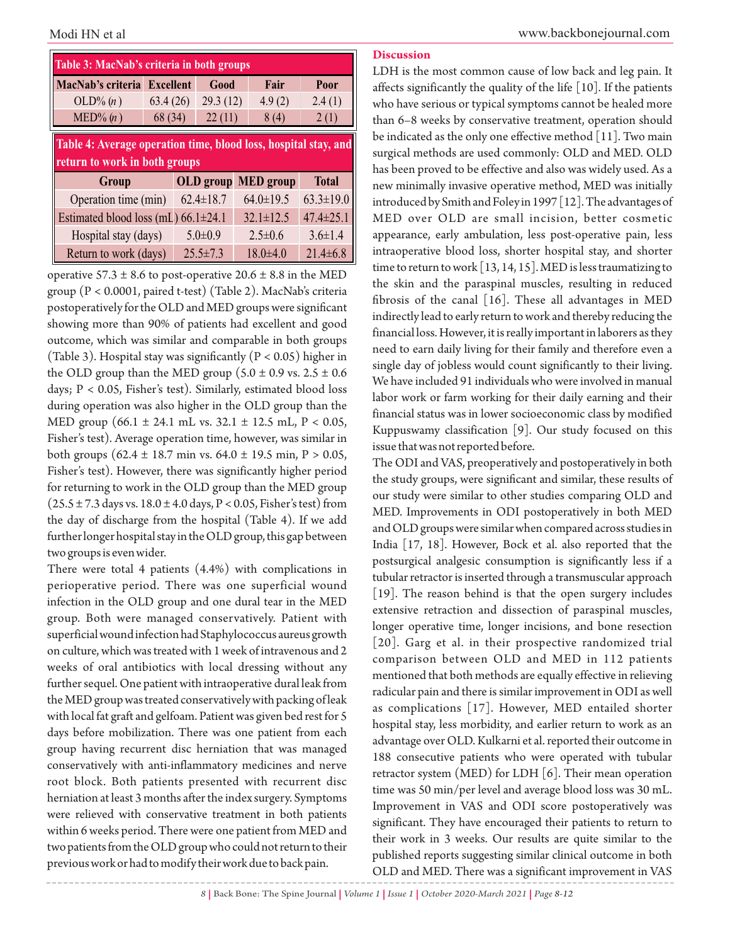| Table 3: MacNab's criteria in both groups                                                                 |          |                  |                  |                 |  |  |
|-----------------------------------------------------------------------------------------------------------|----------|------------------|------------------|-----------------|--|--|
| MacNab's criteria Excellent                                                                               |          | Good             | Fair             | Poor            |  |  |
| $OLD\%$ $(n)$                                                                                             | 63.4(26) | 29.3(12)         | 4.9(2)           | 2.4(1)          |  |  |
| $\text{MED}$ % $(n)$                                                                                      | 68 (34)  | 22(11)           | 8(4)             | 2(1)            |  |  |
| Table 4: Average operation time, blood loss, hospital stay, and<br>return to work in both groups<br>Group |          | <b>OLD</b> group | <b>MED</b> group | <b>Total</b>    |  |  |
| Operation time (min)                                                                                      |          | $62.4 \pm 18.7$  | $64.0 \pm 19.5$  | $63.3 \pm 19.0$ |  |  |
| Estimated blood loss (mL) $66.1 \pm 24.1$                                                                 |          |                  | $32.1 \pm 12.5$  | $47.4 \pm 25.1$ |  |  |
| Hospital stay (days)                                                                                      |          | $5.0 \pm 0.9$    | $2.5 \pm 0.6$    | $3.6 \pm 1.4$   |  |  |
|                                                                                                           |          |                  |                  |                 |  |  |

operative  $57.3 \pm 8.6$  to post-operative  $20.6 \pm 8.8$  in the MED group (P < 0.0001, paired t-test) (Table 2). MacNab's criteria postoperatively for the OLD and MED groups were significant showing more than 90% of patients had excellent and good outcome, which was similar and comparable in both groups (Table 3). Hospital stay was significantly ( $P < 0.05$ ) higher in the OLD group than the MED group ( $5.0 \pm 0.9$  vs.  $2.5 \pm 0.6$ days; P < 0.05, Fisher's test). Similarly, estimated blood loss during operation was also higher in the OLD group than the MED group  $(66.1 \pm 24.1 \text{ mL vs. } 32.1 \pm 12.5 \text{ mL}, P < 0.05,$ Fisher's test). Average operation time, however, was similar in both groups (62.4  $\pm$  18.7 min vs. 64.0  $\pm$  19.5 min, P > 0.05, Fisher's test). However, there was significantly higher period for returning to work in the OLD group than the MED group  $(25.5 \pm 7.3$  days vs.  $18.0 \pm 4.0$  days,  $P < 0.05$ , Fisher's test) from the day of discharge from the hospital (Table 4). If we add further longer hospital stay in the OLD group, this gap between two groups is even wider.

There were total 4 patients (4.4%) with complications in perioperative period. There was one superficial wound infection in the OLD group and one dural tear in the MED group. Both were managed conservatively. Patient with superficial wound infection had Staphylococcus aureus growth on culture, which was treated with 1 week of intravenous and 2 weeks of oral antibiotics with local dressing without any further sequel. One patient with intraoperative dural leak from the MED group was treated conservatively with packing of leak with local fat graft and gelfoam. Patient was given bed rest for 5 days before mobilization. There was one patient from each group having recurrent disc herniation that was managed conservatively with anti-inflammatory medicines and nerve root block. Both patients presented with recurrent disc herniation at least 3 months after the index surgery. Symptoms were relieved with conservative treatment in both patients within 6 weeks period. There were one patient from MED and two patients from the OLD group who could not return to their previous work or had to modify their work due to back pain.

#### **Discussion**

LDH is the most common cause of low back and leg pain. It affects significantly the quality of the life [10]. If the patients who have serious or typical symptoms cannot be healed more than 6–8 weeks by conservative treatment, operation should be indicated as the only one effective method [11]. Two main surgical methods are used commonly: OLD and MED. OLD has been proved to be effective and also was widely used. As a new minimally invasive operative method, MED was initially introduced by Smith and Foley in 1997 [12]. The advantages of MED over OLD are small incision, better cosmetic appearance, early ambulation, less post-operative pain, less intraoperative blood loss, shorter hospital stay, and shorter time to return to work [13, 14, 15]. MED is less traumatizing to the skin and the paraspinal muscles, resulting in reduced fibrosis of the canal [16]. These all advantages in MED indirectly lead to early return to work and thereby reducing the financial loss. However, it is really important in laborers as they need to earn daily living for their family and therefore even a single day of jobless would count significantly to their living. We have included 91 individuals who were involved in manual labor work or farm working for their daily earning and their financial status was in lower socioeconomic class by modified Kuppuswamy classification [9]. Our study focused on this issue that was not reported before.

The ODI and VAS, preoperatively and postoperatively in both the study groups, were significant and similar, these results of our study were similar to other studies comparing OLD and MED. Improvements in ODI postoperatively in both MED and OLD groups were similar when compared across studies in India [17, 18]. However, Bock et al. also reported that the postsurgical analgesic consumption is significantly less if a tubular retractor is inserted through a transmuscular approach [19]. The reason behind is that the open surgery includes extensive retraction and dissection of paraspinal muscles, longer operative time, longer incisions, and bone resection [20]. Garg et al. in their prospective randomized trial comparison between OLD and MED in 112 patients mentioned that both methods are equally effective in relieving radicular pain and there is similar improvement in ODI as well as complications [17]. However, MED entailed shorter hospital stay, less morbidity, and earlier return to work as an advantage over OLD. Kulkarni et al. reported their outcome in 188 consecutive patients who were operated with tubular retractor system (MED) for LDH  $\lceil 6 \rceil$ . Their mean operation time was 50 min/per level and average blood loss was 30 mL. Improvement in VAS and ODI score postoperatively was significant. They have encouraged their patients to return to their work in 3 weeks. Our results are quite similar to the published reports suggesting similar clinical outcome in both OLD and MED. There was a significant improvement in VAS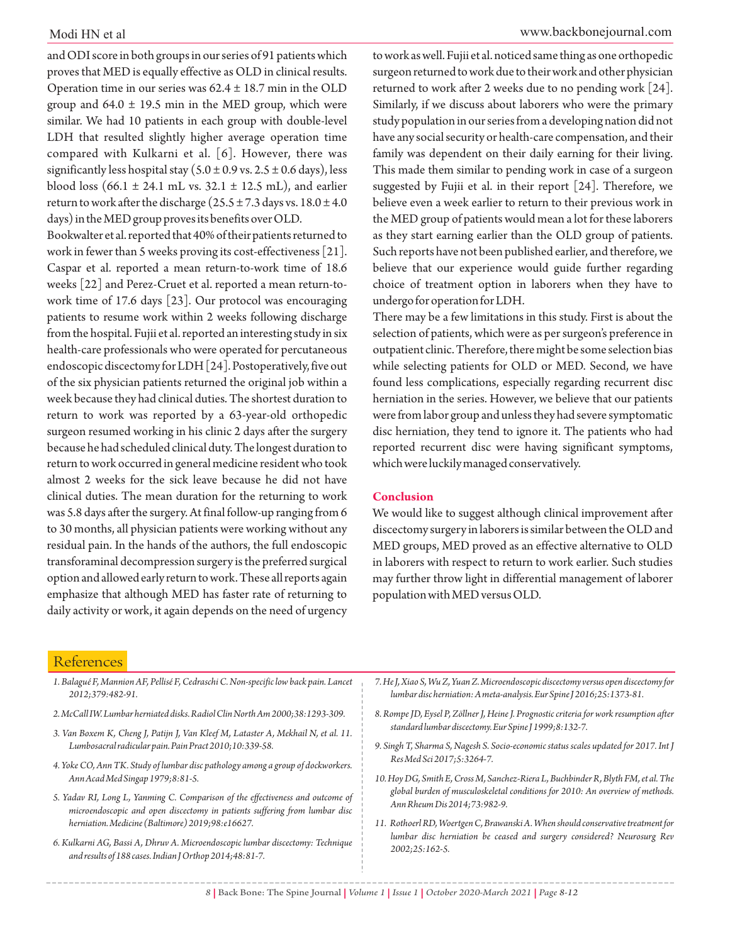and ODI score in both groups in our series of 91 patients which proves that MED is equally effective as OLD in clinical results. Operation time in our series was  $62.4 \pm 18.7$  min in the OLD group and  $64.0 \pm 19.5$  min in the MED group, which were similar. We had 10 patients in each group with double-level LDH that resulted slightly higher average operation time compared with Kulkarni et al. [6]. However, there was significantly less hospital stay ( $5.0 \pm 0.9$  vs.  $2.5 \pm 0.6$  days), less blood loss (66.1  $\pm$  24.1 mL vs. 32.1  $\pm$  12.5 mL), and earlier return to work after the discharge  $(25.5 \pm 7.3)$  days vs.  $18.0 \pm 4.0$ days) in the MED group proves its benefits over OLD.

Bookwalter et al. reported that 40% of their patients returned to work in fewer than 5 weeks proving its cost-effectiveness [21]. Caspar et al. reported a mean return-to-work time of 18.6 weeks [22] and Perez-Cruet et al. reported a mean return-towork time of 17.6 days [23]. Our protocol was encouraging patients to resume work within 2 weeks following discharge from the hospital. Fujii et al. reported an interesting study in six health-care professionals who were operated for percutaneous endoscopic discectomy for LDH [24]. Postoperatively, five out of the six physician patients returned the original job within a week because they had clinical duties. The shortest duration to return to work was reported by a 63-year-old orthopedic surgeon resumed working in his clinic 2 days after the surgery because he had scheduled clinical duty. The longest duration to return to work occurred in general medicine resident who took almost 2 weeks for the sick leave because he did not have clinical duties. The mean duration for the returning to work was 5.8 days after the surgery. At final follow-up ranging from 6 to 30 months, all physician patients were working without any residual pain. In the hands of the authors, the full endoscopic transforaminal decompression surgery is the preferred surgical option and allowed early return to work. These all reports again emphasize that although MED has faster rate of returning to daily activity or work, it again depends on the need of urgency

to work as well. Fujii et al. noticed same thing as one orthopedic surgeon returned to work due to their work and other physician returned to work after 2 weeks due to no pending work [24]. Similarly, if we discuss about laborers who were the primary study population in our series from a developing nation did not have any social security or health-care compensation, and their family was dependent on their daily earning for their living. This made them similar to pending work in case of a surgeon suggested by Fujii et al. in their report [24]. Therefore, we believe even a week earlier to return to their previous work in the MED group of patients would mean a lot for these laborers as they start earning earlier than the OLD group of patients. Such reports have not been published earlier, and therefore, we believe that our experience would guide further regarding choice of treatment option in laborers when they have to undergo for operation for LDH.

There may be a few limitations in this study. First is about the selection of patients, which were as per surgeon's preference in outpatient clinic. Therefore, there might be some selection bias while selecting patients for OLD or MED. Second, we have found less complications, especially regarding recurrent disc herniation in the series. However, we believe that our patients were from labor group and unless they had severe symptomatic disc herniation, they tend to ignore it. The patients who had reported recurrent disc were having significant symptoms, which were luckily managed conservatively.

#### **Conclusion**

We would like to suggest although clinical improvement after discectomy surgery in laborers is similar between the OLD and MED groups, MED proved as an effective alternative to OLD in laborers with respect to return to work earlier. Such studies may further throw light in differential management of laborer population with MED versus OLD.

### **References**

| 1. Balagué F, Mannion AF, Pellisé F, Cedraschi C. Non-specific low back pain. Lancet<br>2012;379:482-91.                                                     | 7. He J, Xiao S, Wu Z, Yuan Z. Microendoscopic discectomy versus open discectomy for<br>lumbar discherniation: A meta-analysis. Eur Spine J 2016;25:1373-81. |
|--------------------------------------------------------------------------------------------------------------------------------------------------------------|--------------------------------------------------------------------------------------------------------------------------------------------------------------|
| 2. McCall IW. Lumbar herniated disks. Radiol Clin North Am 2000;38:1293-309.                                                                                 | 8. Rompe JD, Eysel P, Zöllner J, Heine J. Prognostic criteria for work resumption after<br>standard lumbar discectomy. Eur Spine J 1999;8:132-7.             |
| 3. Van Boxem K, Cheng J, Patijn J, Van Kleef M, Lataster A, Mekhail N, et al. 11.                                                                            |                                                                                                                                                              |
| Lumbosacral radicular pain. Pain Pract 2010;10:339-58.                                                                                                       | 9. Singh T, Sharma S, Nagesh S. Socio-economic status scales updated for 2017. Int J                                                                         |
| 4. Yoke CO, Ann TK. Study of lumbar disc pathology among a group of dockworkers.                                                                             | Res Med Sci 2017; 5:3264-7.                                                                                                                                  |
| Ann Acad Med Singap 1979;8:81-5.                                                                                                                             | 10. Hoy DG, Smith E, Cross M, Sanchez-Riera L, Buchbinder R, Blyth FM, et al. The                                                                            |
| 5. Yadav RI, Long L, Yanming C. Comparison of the effectiveness and outcome of<br>microendoscopic and open discectomy in patients suffering from lumbar disc | global burden of musculoskeletal conditions for 2010: An overview of methods.<br>Ann Rheum Dis 2014;73:982-9.                                                |
| herniation. Medicine (Baltimore) 2019;98:e16627.                                                                                                             | 11. Rothoerl RD, Woertgen C, Brawanski A. When should conservative treatment for                                                                             |
| 6. Kulkarni AG, Bassi A, Dhruv A. Microendoscopic lumbar discectomy: Technique                                                                               | lumbar disc herniation be ceased and surgery considered? Neurosurg Rev<br>$2002:25.162-5$                                                                    |

*and results of 188 cases. Indian J Orthop 2014;48:81-7.*

- 
- *2002;25:162-5.*